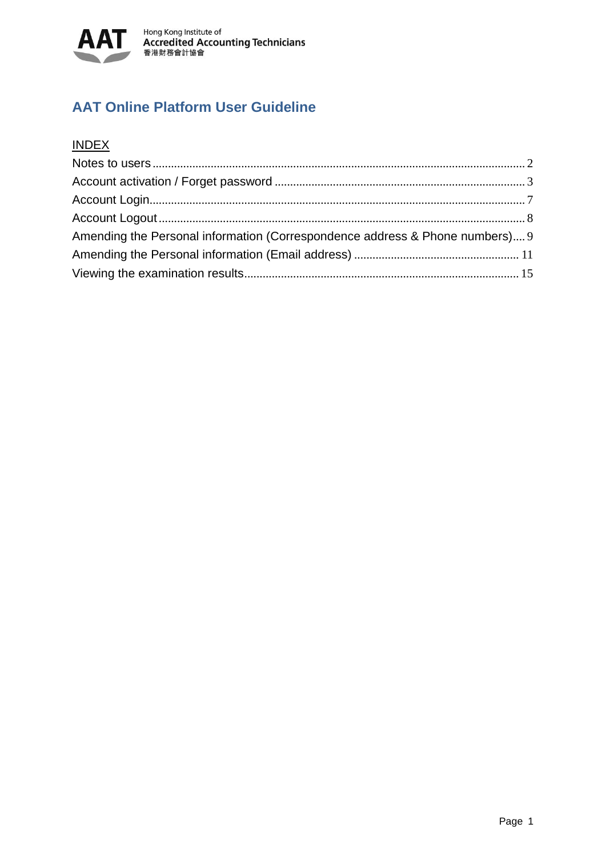

# **AAT Online Platform User Guideline**

## **INDEX**

| Amending the Personal information (Correspondence address & Phone numbers) 9 |  |
|------------------------------------------------------------------------------|--|
|                                                                              |  |
|                                                                              |  |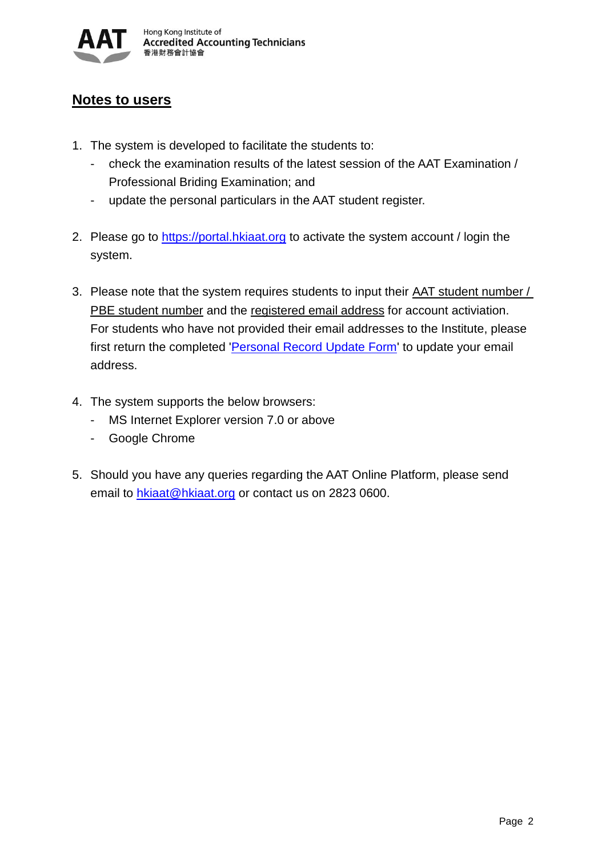

### <span id="page-1-0"></span>**Notes to users**

- 1. The system is developed to facilitate the students to:
	- check the examination results of the latest session of the AAT Examination / Professional Briding Examination; and
	- update the personal particulars in the AAT student register.
- 2. Please go to [https://portal.hkiaat.org](https://portal.hkiaat.org/) to activate the system account / login the system.
- 3. Please note that the system requires students to input their AAT student number / PBE student number and the registered email address for account activiation. For students who have not provided their email addresses to the Institute, please first return the completed '*Personal Record Update Form'* to update your email address.
- 4. The system supports the below browsers:
	- MS Internet Explorer version 7.0 or above
	- Google Chrome
- 5. Should you have any queries regarding the AAT Online Platform, please send email to [hkiaat@hkiaat.org](mailto:hkiaat@hkiaat.org) or contact us on 2823 0600.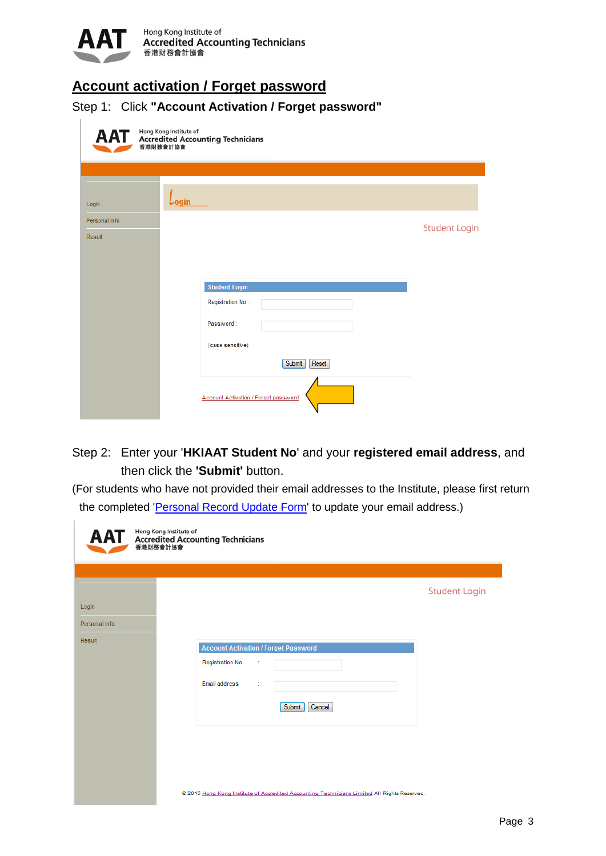

# <span id="page-2-0"></span>**Account activation / Forget password**

Step 1: Click **"Account Activation / Forget password"**

| AAT                     | Hong Kong Institute of<br><b>Accredited Accounting Technicians</b><br>香港財務會計協會 |                      |
|-------------------------|--------------------------------------------------------------------------------|----------------------|
| Login                   | $L_{\text{ogin}}$                                                              |                      |
| Personal Info<br>Result |                                                                                | <b>Student Login</b> |
|                         | <b>Student Login</b>                                                           |                      |
|                         | Registration No.:<br>Password:                                                 |                      |
|                         | (case sensitive)<br>Reset<br>Submit                                            |                      |
|                         | <b>Account Activation / Forget password</b>                                    |                      |

### Step 2: Enter your '**HKIAAT Student No**' and your **registered email address**, and then click the **'Submit'** button.

(For students who have not provided their email addresses to the Institute, please first return the completed ['Personal Record Update Form'](http://www.hkiaat.org/images/uploads/pdf/download/Update.pdf) to update your email address.)

|                                  | Hong Kong Institute of<br><b>AAT</b> Hong Kong Institute of<br>The Accredited Accounting Technicians      |                      |
|----------------------------------|-----------------------------------------------------------------------------------------------------------|----------------------|
| Login<br>Personal Info<br>Result | <b>Account Activation / Forget Password</b><br>Registration No.<br>Email address<br>÷<br>Submit<br>Cancel | <b>Student Login</b> |
|                                  | @ 2015 Hong Kong Institute of Accredited Accounting Technicians Limited All Rights Reserved.              |                      |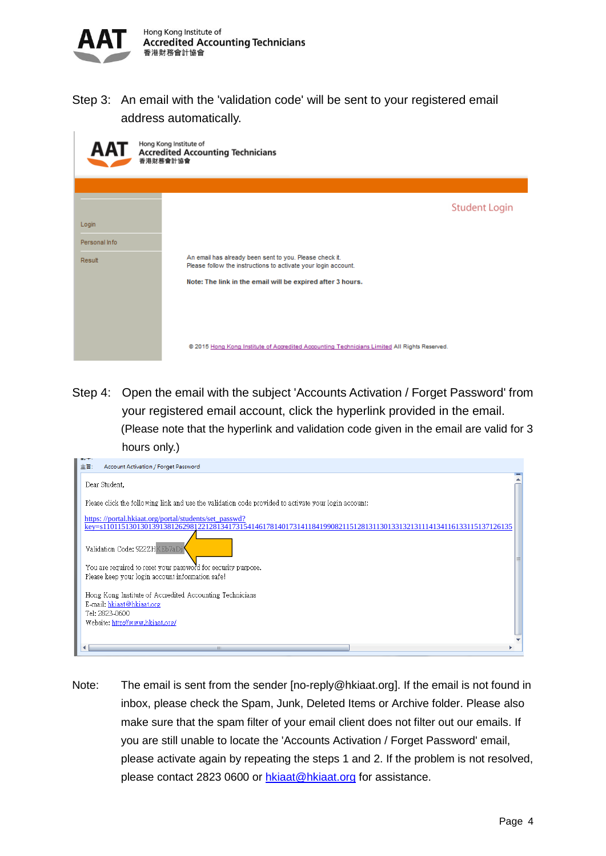

Step 3: An email with the 'validation code' will be sent to your registered email address automatically.

| AAT                              | Hong Kong Institute of<br><b>Accredited Accounting Technicians</b><br>香港財務會計協會                                                                             |                      |
|----------------------------------|------------------------------------------------------------------------------------------------------------------------------------------------------------|----------------------|
|                                  |                                                                                                                                                            |                      |
| Login<br>Personal Info<br>Result | An email has already been sent to you. Please check it.<br>Please follow the instructions to activate your login account.                                  | <b>Student Login</b> |
|                                  | Note: The link in the email will be expired after 3 hours.<br>@ 2015 Hong Kong Institute of Accredited Accounting Technicians Limited All Rights Reserved. |                      |

Step 4: Open the email with the subject 'Accounts Activation / Forget Password' from your registered email account, click the hyperlink provided in the email. (Please note that the hyperlink and validation code given in the email are valid for 3 hours only.)

| Account Activation / Forget Password<br>主旨:                                                                                                                                |  |
|----------------------------------------------------------------------------------------------------------------------------------------------------------------------------|--|
| Dear Student,                                                                                                                                                              |  |
| Please click the following link and use the validation code provided to activate your login account:                                                                       |  |
| https://portal.hkiaat.org/portal/students/set_passwd?<br>key=s110115130130139138126298122128134173154146178140173141184199082115128131130133132131114134116133115137126135 |  |
| Validation Code: 922ZHKEb7aDi                                                                                                                                              |  |
| You are required to reset your password for security purpose.<br>Please keep your login account information safe!                                                          |  |
| Hong Kong Institute of Accredited Accounting Technicians<br>E-mail: hkiaat@hkiaat.org<br>Tel: 2823-0600                                                                    |  |
| Website: http://www.hkiaat.org/                                                                                                                                            |  |
|                                                                                                                                                                            |  |

Note: The email is sent from the sender [no-reply@hkiaat.org]. If the email is not found in inbox, please check the Spam, Junk, Deleted Items or Archive folder. Please also make sure that the spam filter of your email client does not filter out our emails. If you are still unable to locate the 'Accounts Activation / Forget Password' email, please activate again by repeating the steps 1 and 2. If the problem is not resolved, please contact 2823 0600 or [hkiaat@hkiaat.org](mailto:hkiaat@hkiaat.org) for assistance.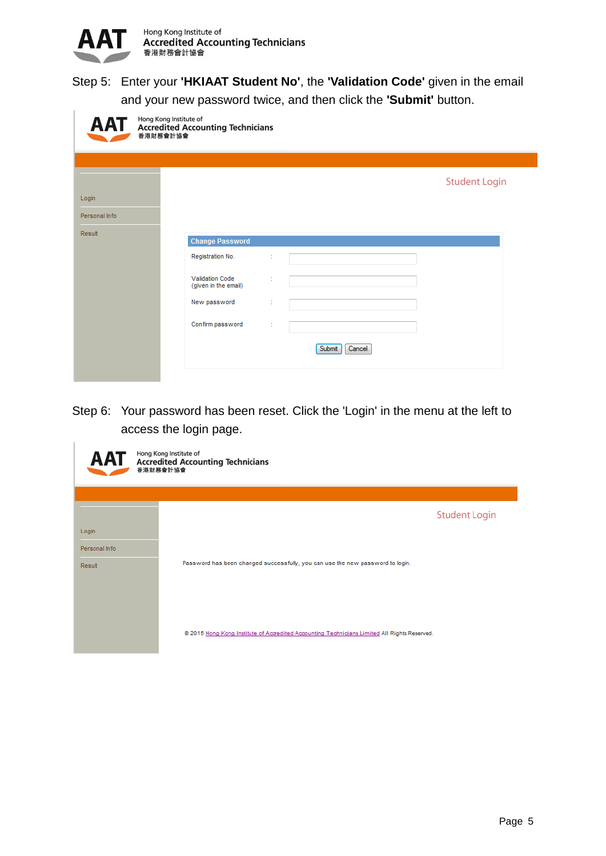

## Step 5: Enter your **'HKIAAT Student No'**, the **'Validation Code'** given in the email and your new password twice, and then click the **'Submit'** button.

| AAT           | Hong Kong Institute of<br>Accredited Accounting Technicians |        |                  |                      |  |
|---------------|-------------------------------------------------------------|--------|------------------|----------------------|--|
|               |                                                             |        |                  |                      |  |
|               |                                                             |        |                  | <b>Student Login</b> |  |
| Login         |                                                             |        |                  |                      |  |
| Personal Info |                                                             |        |                  |                      |  |
| Result        | <b>Change Password</b>                                      |        |                  |                      |  |
|               | Registration No.                                            |        |                  |                      |  |
|               | <b>Validation Code</b><br>(given in the email)              |        |                  |                      |  |
|               | New password                                                | $\sim$ |                  |                      |  |
|               | Confirm password                                            | ÷      |                  |                      |  |
|               |                                                             |        | Submit<br>Cancel |                      |  |
|               |                                                             |        |                  |                      |  |

Step 6: Your password has been reset. Click the 'Login' in the menu at the left to access the login page.

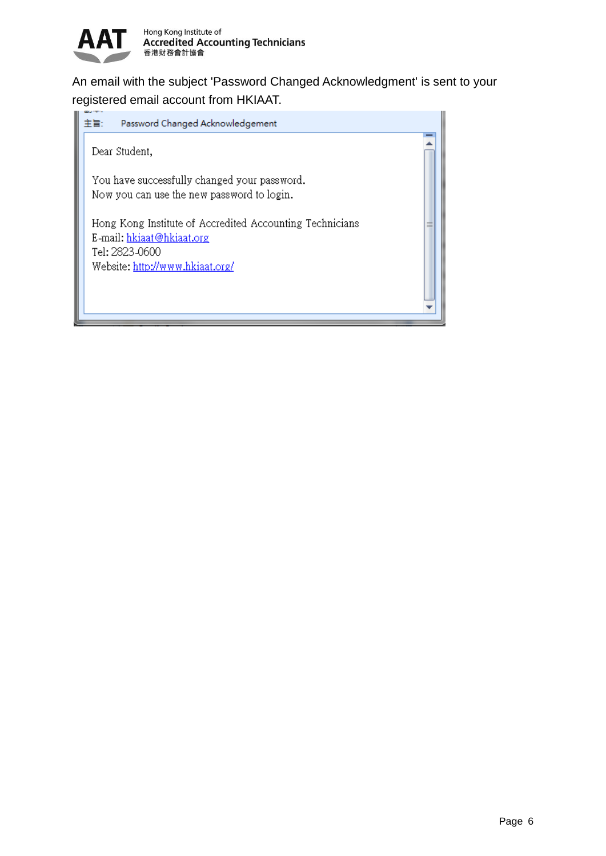

An email with the subject 'Password Changed Acknowledgment' is sent to your registered email account from HKIAAT.

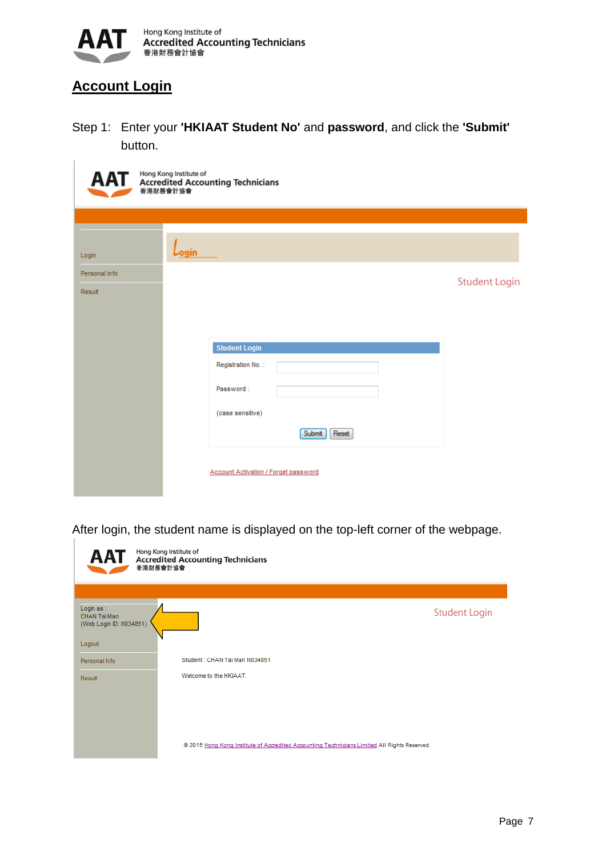

# <span id="page-6-0"></span>**Account Login**

Step 1: Enter your **'HKIAAT Student No'** and **password**, and click the **'Submit'** button.

| <b>AAT</b>    | Hong Kong Institute of<br><b>Accredited Accounting Technicians</b><br>香港財務會計協會 |                      |
|---------------|--------------------------------------------------------------------------------|----------------------|
|               |                                                                                |                      |
| Login         | <u>Login</u>                                                                   |                      |
| Personal Info |                                                                                |                      |
| Result        |                                                                                | <b>Student Login</b> |
|               |                                                                                |                      |
|               |                                                                                |                      |
|               | <b>Student Login</b>                                                           |                      |
|               | Registration No.:                                                              |                      |
|               | Password:                                                                      |                      |
|               | (case sensitive)                                                               |                      |
|               | Submit<br>Reset                                                                |                      |
|               | Account Activation / Forget password                                           |                      |

After login, the student name is displayed on the top-left corner of the webpage.

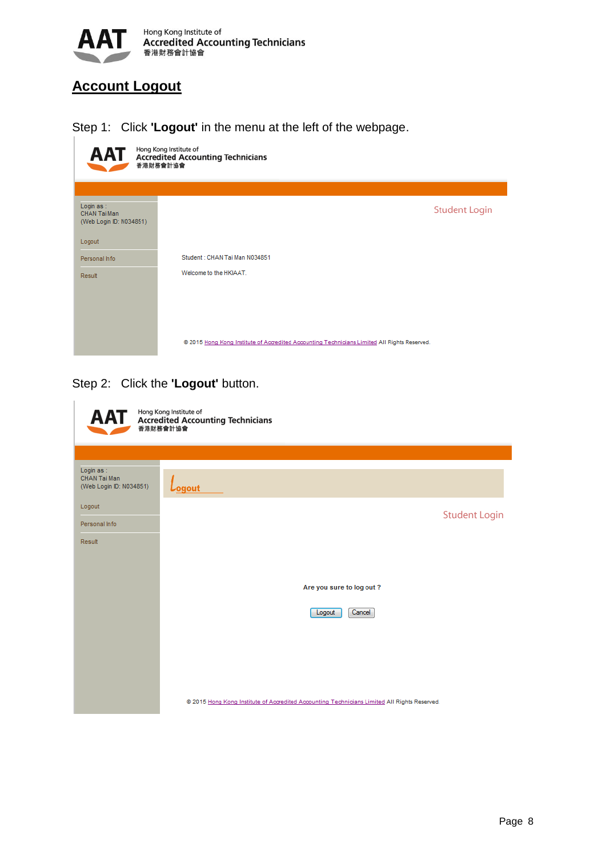

# <span id="page-7-0"></span>**Account Logout**

Step 1: Click **'Logout'** in the menu at the left of the webpage.



Step 2: Click the **'Logout'** button.

| <b>AAT</b>                                            | Hong Kong Institute of<br><b>Accredited Accounting Technicians</b><br>香港財務會計協會                                                               |
|-------------------------------------------------------|----------------------------------------------------------------------------------------------------------------------------------------------|
|                                                       |                                                                                                                                              |
| Login as :<br>CHAN Tai Man<br>(Web Login ID: N034851) | $L_{\text{ogout}}$                                                                                                                           |
| Logout                                                |                                                                                                                                              |
| Personal Info                                         | <b>Student Login</b>                                                                                                                         |
| Result                                                | Are you sure to log out?<br>Cancel<br>Logout<br>@ 2015 Hong Kong Institute of Accredited Accounting Technicians Limited All Rights Reserved. |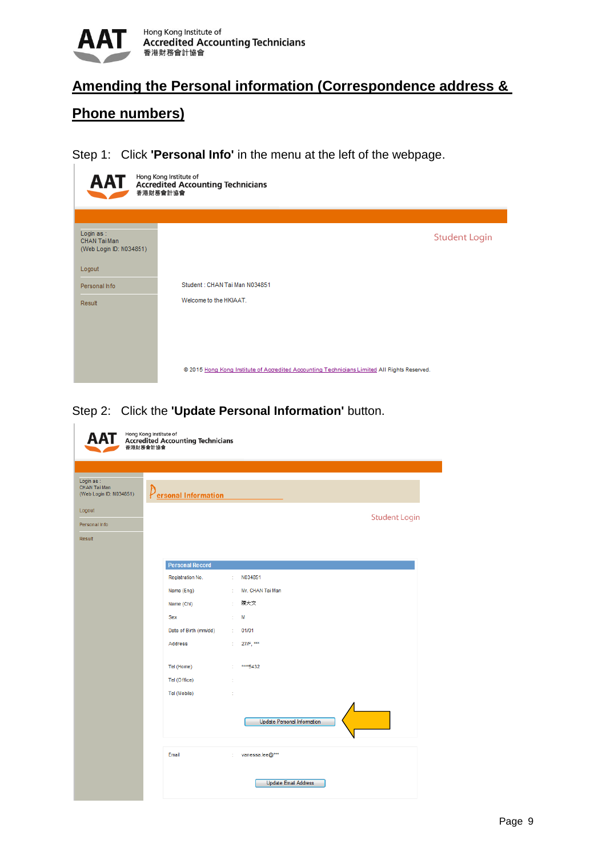

## <span id="page-8-0"></span>**Amending the Personal information (Correspondence address &**

## **Phone numbers)**

Step 1: Click **'Personal Info'** in the menu at the left of the webpage.



Step 2: Click the **'Update Personal Information'** button.

|                                                      | 香港財務會計協會               |                                    |                      |
|------------------------------------------------------|------------------------|------------------------------------|----------------------|
|                                                      |                        |                                    |                      |
| Login as:<br>CHAN Tai Man<br>(Web Login ID: N034851) | Personal Information   |                                    |                      |
| Logout                                               |                        |                                    |                      |
| Personal Info                                        |                        |                                    | <b>Student Login</b> |
| Result                                               |                        |                                    |                      |
|                                                      |                        |                                    |                      |
|                                                      | <b>Personal Record</b> |                                    |                      |
|                                                      | Registration No.       | N034851<br>÷                       |                      |
|                                                      | Name (Eng)             | Mr. CHAN Tai Man<br>÷.             |                      |
|                                                      | Name (Chi)             | 陳大文<br>÷.                          |                      |
|                                                      | Sex                    | ÷<br>М                             |                      |
|                                                      | Date of Birth (mm/dd)  | : 01/01                            |                      |
|                                                      | <b>Address</b>         | 27/F, ***<br>t.                    |                      |
|                                                      | Tel (Home)             | ****5432<br>÷.                     |                      |
|                                                      | Tel (Office)           | ÷                                  |                      |
|                                                      | Tel (Mobile)           | ÷                                  |                      |
|                                                      |                        | <b>Update Personal Information</b> |                      |
|                                                      | Email                  | : vanessa.lee@***                  |                      |
|                                                      |                        | <b>Update Email Address</b>        |                      |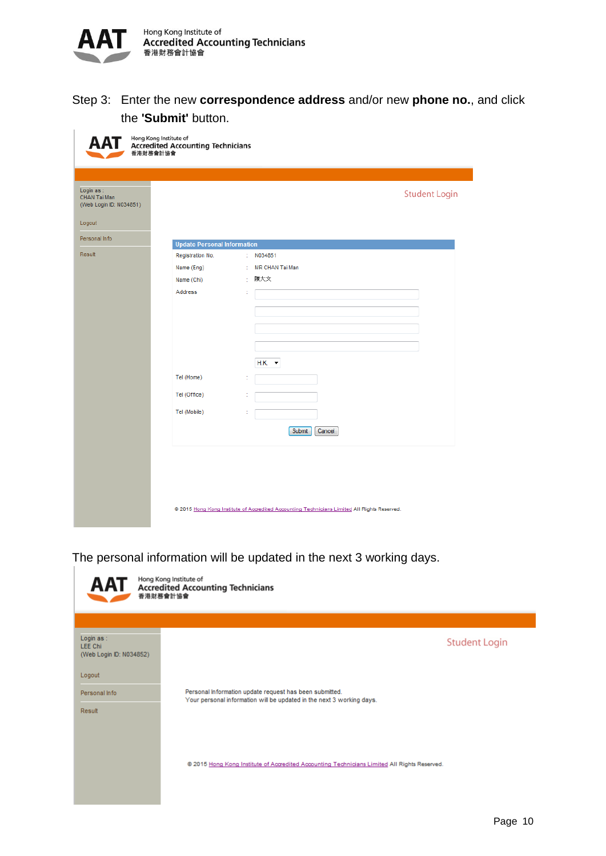

Step 3: Enter the new **correspondence address** and/or new **phone no.**, and click the **'Submit'** button.

| Hong Kong Institute of                               | Accredited Accounting Technicians<br>香港財務會計協會 |                                                                                              |  |
|------------------------------------------------------|-----------------------------------------------|----------------------------------------------------------------------------------------------|--|
| Login as:<br>CHAN Tai Man<br>(Web Login ID: N034851) |                                               | <b>Student Login</b>                                                                         |  |
| Logout                                               |                                               |                                                                                              |  |
| Personal Info                                        | <b>Update Personal Information</b>            |                                                                                              |  |
| Result                                               | Registration No.                              | : $N034851$                                                                                  |  |
|                                                      | Name (Eng)                                    | : MR CHAN Tai Man                                                                            |  |
|                                                      | Name (Chi)                                    | 陳大文<br>÷                                                                                     |  |
|                                                      | Address                                       | ÷                                                                                            |  |
|                                                      |                                               |                                                                                              |  |
|                                                      |                                               |                                                                                              |  |
|                                                      |                                               |                                                                                              |  |
|                                                      |                                               |                                                                                              |  |
|                                                      |                                               |                                                                                              |  |
|                                                      |                                               | $H.K.$ $\rightarrow$                                                                         |  |
|                                                      | Tel (Home)                                    | t                                                                                            |  |
|                                                      | Tel (Office)                                  | t                                                                                            |  |
|                                                      |                                               |                                                                                              |  |
|                                                      | Tel (Mobile)                                  |                                                                                              |  |
|                                                      |                                               | Submit<br>Cancel                                                                             |  |
|                                                      |                                               |                                                                                              |  |
|                                                      |                                               |                                                                                              |  |
|                                                      |                                               |                                                                                              |  |
|                                                      |                                               |                                                                                              |  |
|                                                      |                                               |                                                                                              |  |
|                                                      |                                               | @ 2015 Hong Kong Institute of Accredited Accounting Technicians Limited All Rights Reserved. |  |

The personal information will be updated in the next 3 working days.

| <b>AAT</b>                                              | Hong Kong Institute of<br><b>Accredited Accounting Technicians</b><br>香港財務會計協會                                                   |
|---------------------------------------------------------|----------------------------------------------------------------------------------------------------------------------------------|
|                                                         |                                                                                                                                  |
| Login as :<br><b>LEE Chi</b><br>(Web Login ID: N034852) | <b>Student Login</b>                                                                                                             |
| Logout                                                  |                                                                                                                                  |
| Personal Info                                           | Personal Information update request has been submitted.<br>Your personal information will be updated in the next 3 working days. |
| Result                                                  |                                                                                                                                  |
|                                                         |                                                                                                                                  |
|                                                         |                                                                                                                                  |
|                                                         | @ 2015 Hong Kong Institute of Accredited Accounting Technicians Limited All Rights Reserved.                                     |
|                                                         |                                                                                                                                  |
|                                                         |                                                                                                                                  |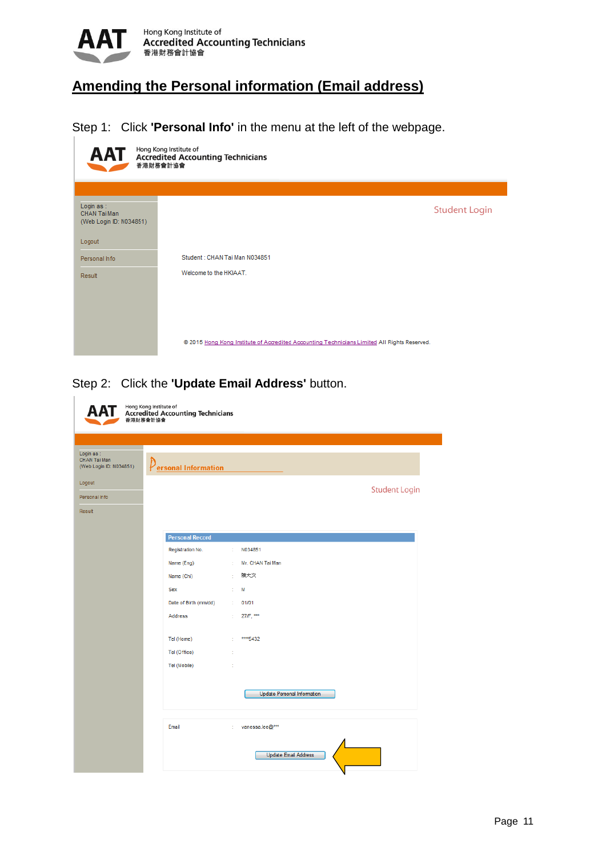

# <span id="page-10-0"></span>**Amending the Personal information (Email address)**

Step 1: Click **'Personal Info'** in the menu at the left of the webpage.



#### Step 2: Click the **'Update Email Address'** button.

|                                                      | Hong Kong Institute of<br><b>Accredited Accounting Technicians</b><br>香港財務會計協會 |    |                                    |
|------------------------------------------------------|--------------------------------------------------------------------------------|----|------------------------------------|
|                                                      |                                                                                |    |                                    |
| Login as:<br>CHAN Tai Man<br>(Web Login ID: N034851) | $\rho$ <sub>ersonal</sub> Information                                          |    |                                    |
| Logout                                               |                                                                                |    | <b>Student Login</b>               |
| Personal Info                                        |                                                                                |    |                                    |
| Result                                               |                                                                                |    |                                    |
|                                                      |                                                                                |    |                                    |
|                                                      | <b>Personal Record</b>                                                         |    |                                    |
|                                                      | Registration No.                                                               | ÷. | N034851                            |
|                                                      | Name (Eng)                                                                     | ÷. | Mr. CHAN Tai Man                   |
|                                                      | Name (Chi)                                                                     | ÷. | 陳大文                                |
|                                                      | <b>Sex</b>                                                                     | ÷. | M                                  |
|                                                      | Date of Birth (mm/dd)                                                          | ÷. | 01/01                              |
|                                                      | <b>Address</b>                                                                 | ÷. | 27/F. ***                          |
|                                                      | Tel (Home)                                                                     | ÷  | **** 5432                          |
|                                                      | Tel (Office)                                                                   | ł, |                                    |
|                                                      | Tel (Mobile)                                                                   | ř. |                                    |
|                                                      |                                                                                |    |                                    |
|                                                      |                                                                                |    | <b>Update Personal Information</b> |
|                                                      | Email                                                                          | ÷. | vanessa.lee@***                    |
|                                                      |                                                                                |    | <b>Update Email Address</b>        |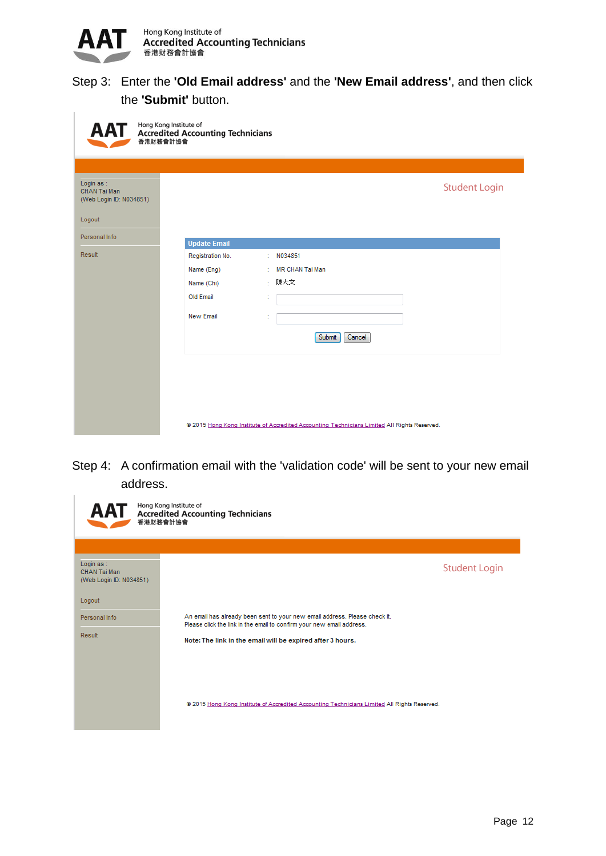

#### Step 3: Enter the **'Old Email address'** and the **'New Email address'**, and then click the **'Submit'** button.

| Hong Kong Institute of<br>AAT<br><b>Accredited Accounting Technicians</b><br>香港財務會計協會 |                     |                                                                                              |                      |  |  |  |
|---------------------------------------------------------------------------------------|---------------------|----------------------------------------------------------------------------------------------|----------------------|--|--|--|
|                                                                                       |                     |                                                                                              |                      |  |  |  |
| Login as:<br>CHAN Tai Man<br>(Web Login ID: N034851)                                  |                     |                                                                                              | <b>Student Login</b> |  |  |  |
| Logout                                                                                |                     |                                                                                              |                      |  |  |  |
| Personal Info                                                                         | <b>Update Email</b> |                                                                                              |                      |  |  |  |
| Result                                                                                | Registration No.    | N034851<br>t.                                                                                |                      |  |  |  |
|                                                                                       | Name (Eng)          | MR CHAN Tai Man<br>÷                                                                         |                      |  |  |  |
|                                                                                       | Name (Chi)          | 陳大文<br>÷                                                                                     |                      |  |  |  |
|                                                                                       | Old Email           | t                                                                                            |                      |  |  |  |
|                                                                                       | New Email           |                                                                                              |                      |  |  |  |
|                                                                                       |                     | Submit<br>Cancel                                                                             |                      |  |  |  |
|                                                                                       |                     |                                                                                              |                      |  |  |  |
|                                                                                       |                     |                                                                                              |                      |  |  |  |
|                                                                                       |                     |                                                                                              |                      |  |  |  |
|                                                                                       |                     |                                                                                              |                      |  |  |  |
|                                                                                       |                     | @ 2015 Hong Kong Institute of Accredited Accounting Technicians Limited All Rights Reserved. |                      |  |  |  |

Step 4: A confirmation email with the 'validation code' will be sent to your new email address.

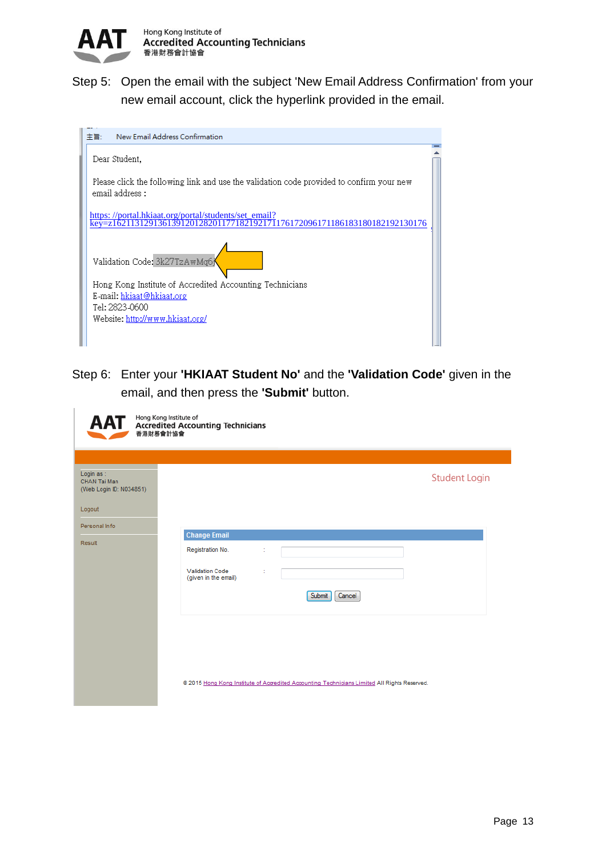

Step 5: Open the email with the subject 'New Email Address Confirmation' from your new email account, click the hyperlink provided in the email.

| New Email Address Confirmation<br>主旨:                                                                       |  |
|-------------------------------------------------------------------------------------------------------------|--|
| Dear Student,                                                                                               |  |
| Please click the following link and use the validation code provided to confirm your new<br>email address : |  |
| https://portal.hkiaat.org/portal/students/set email?<br>176172096171186183180182192130176                   |  |
| Validation Code: 3k27TzAwMq6j                                                                               |  |
| Hong Kong Institute of Accredited Accounting Technicians                                                    |  |
| E-mail: hkiaat@hkiaat.org<br>Tel: 2823-0600                                                                 |  |
| Website: http://www.hkiaat.org/                                                                             |  |
|                                                                                                             |  |

Step 6: Enter your **'HKIAAT Student No'** and the **'Validation Code'** given in the email, and then press the **'Submit'** button.

| Hong Kong Institute of<br><b>AA1</b><br><b>Accredited Accounting Technicians</b><br>香港財務會計協會 |                                                                                                                                       |  |  |  |  |
|----------------------------------------------------------------------------------------------|---------------------------------------------------------------------------------------------------------------------------------------|--|--|--|--|
| Login as :<br>CHAN Tai Man<br>(Web Login ID: N034851)<br>Logout<br>Personal Info<br>Result   | <b>Student Login</b><br><b>Change Email</b><br>Registration No.<br><b>Validation Code</b><br>(given in the email)<br>Cancel<br>Submit |  |  |  |  |
|                                                                                              | @ 2015 Hong Kong Institute of Accredited Accounting Technicians Limited All Rights Reserved.                                          |  |  |  |  |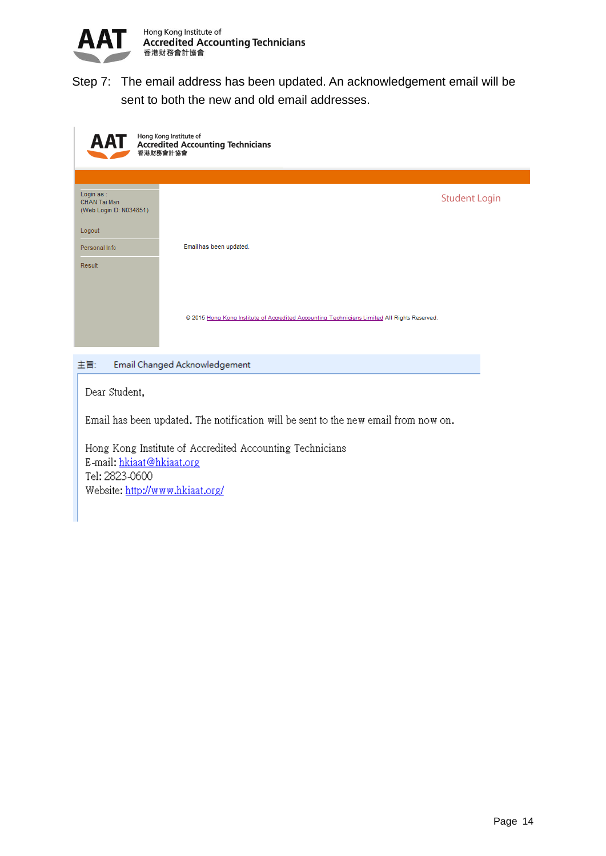

Step 7: The email address has been updated. An acknowledgement email will be sent to both the new and old email addresses.

| AAT                                                   | Hong Kong Institute of<br><b>Accredited Accounting Technicians</b><br>香港財務會計協會               |  |  |  |  |
|-------------------------------------------------------|----------------------------------------------------------------------------------------------|--|--|--|--|
|                                                       |                                                                                              |  |  |  |  |
| Login as :<br>CHAN Tai Man<br>(Web Login ID: N034851) | <b>Student Login</b>                                                                         |  |  |  |  |
| Logout                                                |                                                                                              |  |  |  |  |
| Personal Info                                         | Email has been updated.                                                                      |  |  |  |  |
| Result                                                |                                                                                              |  |  |  |  |
|                                                       |                                                                                              |  |  |  |  |
|                                                       |                                                                                              |  |  |  |  |
|                                                       | @ 2015 Hong Kong Institute of Accredited Accounting Technicians Limited All Rights Reserved. |  |  |  |  |
|                                                       |                                                                                              |  |  |  |  |

主旨: Email Changed Acknowledgement

Dear Student,

Email has been updated. The notification will be sent to the new email from now on.

Hong Kong Institute of Accredited Accounting Technicians E-mail: hkiaat@hkiaat.org Tel: 2823-0600 Website: http://www.hkiaat.org/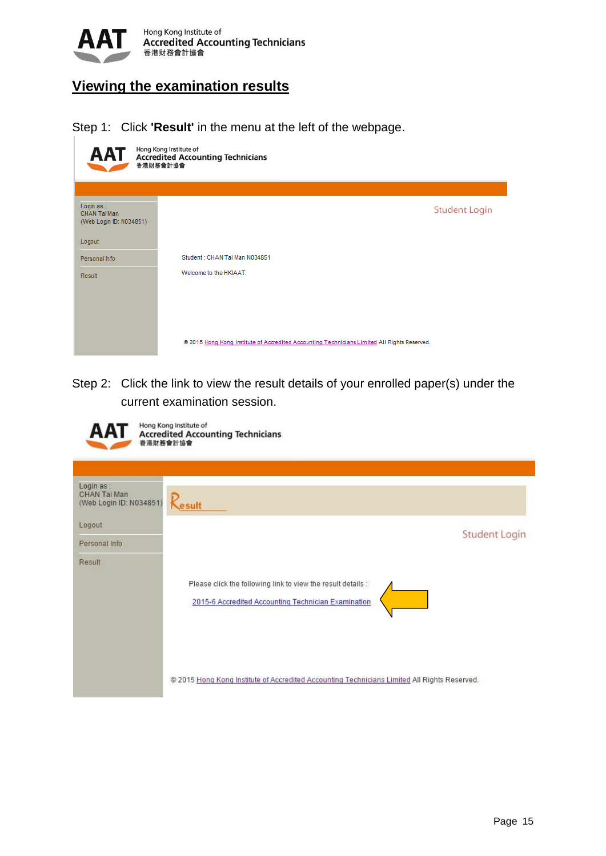

# <span id="page-14-0"></span>**Viewing the examination results**

Step 1: Click **'Result'** in the menu at the left of the webpage.

| Hong Kong Institute of<br><b>AAT</b><br><b>Accredited Accounting Technicians</b><br>香港財務會計協會 |                                                                                              |  |  |  |
|----------------------------------------------------------------------------------------------|----------------------------------------------------------------------------------------------|--|--|--|
|                                                                                              |                                                                                              |  |  |  |
| Login as:<br>CHAN Tai Man<br>(Web Login ID: N034851)                                         | <b>Student Login</b>                                                                         |  |  |  |
| Logout                                                                                       |                                                                                              |  |  |  |
| Personal Info                                                                                | Student: CHAN Tai Man N034851                                                                |  |  |  |
| Result                                                                                       | Welcome to the HKIAAT.                                                                       |  |  |  |
|                                                                                              |                                                                                              |  |  |  |
|                                                                                              |                                                                                              |  |  |  |
|                                                                                              |                                                                                              |  |  |  |
|                                                                                              | @ 2015 Hong Kong Institute of Accredited Accounting Technicians Limited All Rights Reserved. |  |  |  |

Step 2: Click the link to view the result details of your enrolled paper(s) under the current examination session.